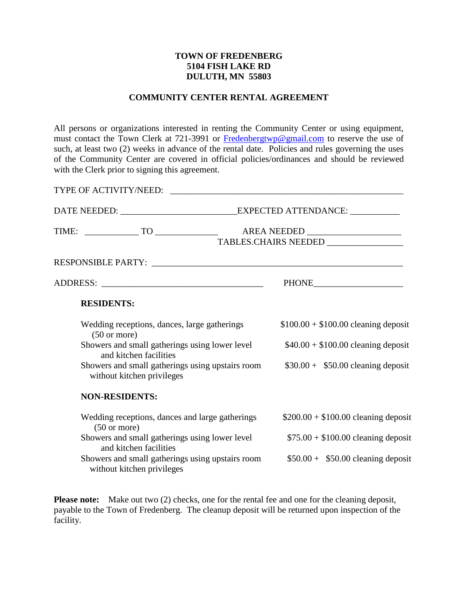## **TOWN OF FREDENBERG 5104 FISH LAKE RD DULUTH, MN 55803**

## **COMMUNITY CENTER RENTAL AGREEMENT**

All persons or organizations interested in renting the Community Center or using equipment, must contact the Town Clerk at 721-3991 or [Fredenbergtwp@gmail.com](mailto:Fredenbergtwp@gmail.com) to reserve the use of such, at least two (2) weeks in advance of the rental date. Policies and rules governing the uses of the Community Center are covered in official policies/ordinances and should be reviewed with the Clerk prior to signing this agreement.

| TYPE OF ACTIVITY/NEED:                                                         |                                                          |  |
|--------------------------------------------------------------------------------|----------------------------------------------------------|--|
|                                                                                |                                                          |  |
|                                                                                | AREA NEEDED ____________________<br>TABLES.CHAIRS NEEDED |  |
|                                                                                |                                                          |  |
|                                                                                |                                                          |  |
| <b>RESIDENTS:</b>                                                              |                                                          |  |
| Wedding receptions, dances, large gatherings<br>$(50 \text{ or more})$         | $$100.00 + $100.00$ cleaning deposit                     |  |
| Showers and small gatherings using lower level<br>and kitchen facilities       | $$40.00 + $100.00$ cleaning deposit                      |  |
| Showers and small gatherings using upstairs room<br>without kitchen privileges | $$30.00 + $50.00$ cleaning deposit                       |  |
| <b>NON-RESIDENTS:</b>                                                          |                                                          |  |
| Wedding receptions, dances and large gatherings<br>$(50 \text{ or more})$      | $$200.00 + $100.00$ cleaning deposit                     |  |
| Showers and small gatherings using lower level<br>and kitchen facilities       | $$75.00 + $100.00$ cleaning deposit                      |  |
| Showers and small gatherings using upstairs room<br>without kitchen privileges | $$50.00 + $50.00$ cleaning deposit                       |  |

**Please note:** Make out two (2) checks, one for the rental fee and one for the cleaning deposit, payable to the Town of Fredenberg. The cleanup deposit will be returned upon inspection of the facility.